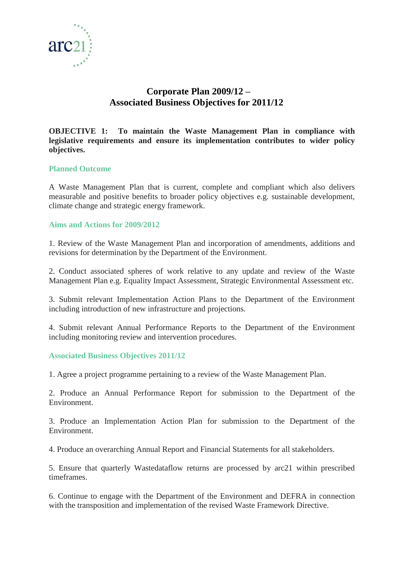

# **Corporate Plan 2009/12 – Associated Business Objectives for 2011/12**

**OBJECTIVE 1: To maintain the Waste Management Plan in compliance with legislative requirements and ensure its implementation contributes to wider policy objectives.**

#### **Planned Outcome**

A Waste Management Plan that is current, complete and compliant which also delivers measurable and positive benefits to broader policy objectives e.g. sustainable development, climate change and strategic energy framework.

#### **Aims and Actions for 2009/2012**

1. Review of the Waste Management Plan and incorporation of amendments, additions and revisions for determination by the Department of the Environment.

2. Conduct associated spheres of work relative to any update and review of the Waste Management Plan e.g. Equality Impact Assessment, Strategic Environmental Assessment etc.

3. Submit relevant Implementation Action Plans to the Department of the Environment including introduction of new infrastructure and projections.

4. Submit relevant Annual Performance Reports to the Department of the Environment including monitoring review and intervention procedures.

#### **Associated Business Objectives 2011/12**

1. Agree a project programme pertaining to a review of the Waste Management Plan.

2. Produce an Annual Performance Report for submission to the Department of the Environment.

3. Produce an Implementation Action Plan for submission to the Department of the Environment.

4. Produce an overarching Annual Report and Financial Statements for all stakeholders.

5. Ensure that quarterly Wastedataflow returns are processed by arc21 within prescribed timeframes.

6. Continue to engage with the Department of the Environment and DEFRA in connection with the transposition and implementation of the revised Waste Framework Directive.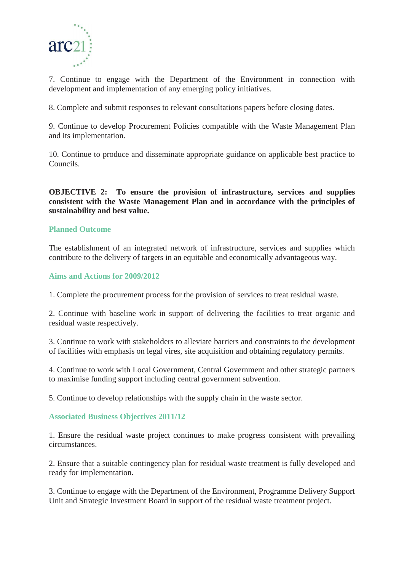

7. Continue to engage with the Department of the Environment in connection with development and implementation of any emerging policy initiatives.

8. Complete and submit responses to relevant consultations papers before closing dates.

9. Continue to develop Procurement Policies compatible with the Waste Management Plan and its implementation.

10. Continue to produce and disseminate appropriate guidance on applicable best practice to Councils.

**OBJECTIVE 2: To ensure the provision of infrastructure, services and supplies consistent with the Waste Management Plan and in accordance with the principles of sustainability and best value.**

#### **Planned Outcome**

The establishment of an integrated network of infrastructure, services and supplies which contribute to the delivery of targets in an equitable and economically advantageous way.

#### **Aims and Actions for 2009/2012**

1. Complete the procurement process for the provision of services to treat residual waste.

2. Continue with baseline work in support of delivering the facilities to treat organic and residual waste respectively.

3. Continue to work with stakeholders to alleviate barriers and constraints to the development of facilities with emphasis on legal vires, site acquisition and obtaining regulatory permits.

4. Continue to work with Local Government, Central Government and other strategic partners to maximise funding support including central government subvention.

5. Continue to develop relationships with the supply chain in the waste sector.

#### **Associated Business Objectives 2011/12**

1. Ensure the residual waste project continues to make progress consistent with prevailing circumstances.

2. Ensure that a suitable contingency plan for residual waste treatment is fully developed and ready for implementation.

3. Continue to engage with the Department of the Environment, Programme Delivery Support Unit and Strategic Investment Board in support of the residual waste treatment project.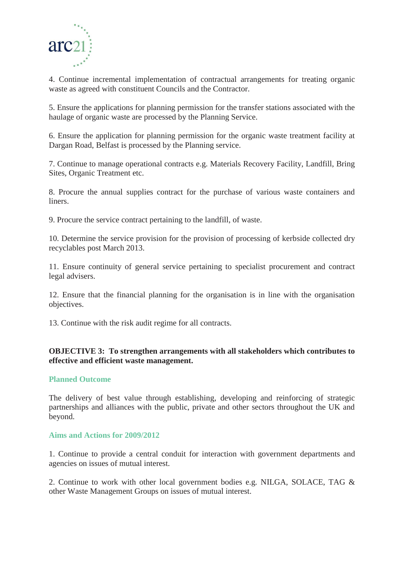

4. Continue incremental implementation of contractual arrangements for treating organic waste as agreed with constituent Councils and the Contractor.

5. Ensure the applications for planning permission for the transfer stations associated with the haulage of organic waste are processed by the Planning Service.

6. Ensure the application for planning permission for the organic waste treatment facility at Dargan Road, Belfast is processed by the Planning service.

7. Continue to manage operational contracts e.g. Materials Recovery Facility, Landfill, Bring Sites, Organic Treatment etc.

8. Procure the annual supplies contract for the purchase of various waste containers and liners.

9. Procure the service contract pertaining to the landfill, of waste.

10. Determine the service provision for the provision of processing of kerbside collected dry recyclables post March 2013.

11. Ensure continuity of general service pertaining to specialist procurement and contract legal advisers.

12. Ensure that the financial planning for the organisation is in line with the organisation objectives.

13. Continue with the risk audit regime for all contracts.

## **OBJECTIVE 3: To strengthen arrangements with all stakeholders which contributes to effective and efficient waste management.**

## **Planned Outcome**

The delivery of best value through establishing, developing and reinforcing of strategic partnerships and alliances with the public, private and other sectors throughout the UK and beyond.

#### **Aims and Actions for 2009/2012**

1. Continue to provide a central conduit for interaction with government departments and agencies on issues of mutual interest.

2. Continue to work with other local government bodies e.g. NILGA, SOLACE, TAG & other Waste Management Groups on issues of mutual interest.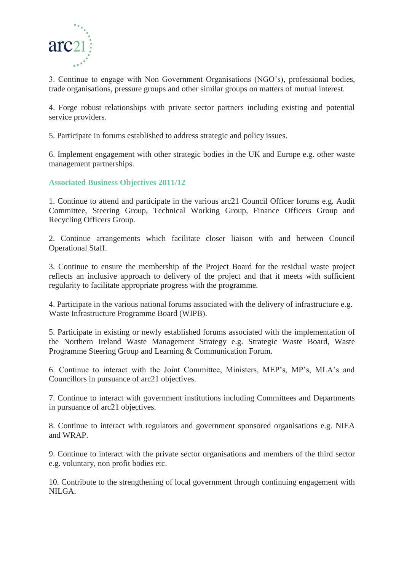

3. Continue to engage with Non Government Organisations (NGO's), professional bodies, trade organisations, pressure groups and other similar groups on matters of mutual interest.

4. Forge robust relationships with private sector partners including existing and potential service providers.

5. Participate in forums established to address strategic and policy issues.

6. Implement engagement with other strategic bodies in the UK and Europe e.g. other waste management partnerships.

**Associated Business Objectives 2011/12**

1. Continue to attend and participate in the various arc21 Council Officer forums e.g. Audit Committee, Steering Group, Technical Working Group, Finance Officers Group and Recycling Officers Group.

2. Continue arrangements which facilitate closer liaison with and between Council Operational Staff.

3. Continue to ensure the membership of the Project Board for the residual waste project reflects an inclusive approach to delivery of the project and that it meets with sufficient regularity to facilitate appropriate progress with the programme.

4. Participate in the various national forums associated with the delivery of infrastructure e.g. Waste Infrastructure Programme Board (WIPB).

5. Participate in existing or newly established forums associated with the implementation of the Northern Ireland Waste Management Strategy e.g. Strategic Waste Board, Waste Programme Steering Group and Learning & Communication Forum.

6. Continue to interact with the Joint Committee, Ministers, MEP's, MP's, MLA's and Councillors in pursuance of arc21 objectives.

7. Continue to interact with government institutions including Committees and Departments in pursuance of arc21 objectives.

8. Continue to interact with regulators and government sponsored organisations e.g. NIEA and WRAP.

9. Continue to interact with the private sector organisations and members of the third sector e.g. voluntary, non profit bodies etc.

10. Contribute to the strengthening of local government through continuing engagement with NILGA.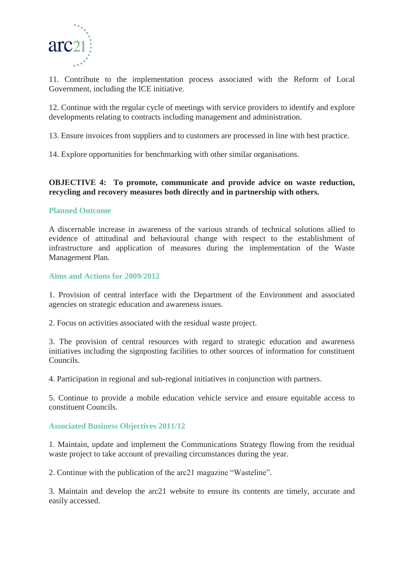

11. Contribute to the implementation process associated with the Reform of Local Government, including the ICE initiative.

12. Continue with the regular cycle of meetings with service providers to identify and explore developments relating to contracts including management and administration.

13. Ensure invoices from suppliers and to customers are processed in line with best practice.

14. Explore opportunities for benchmarking with other similar organisations.

#### **OBJECTIVE 4: To promote, communicate and provide advice on waste reduction, recycling and recovery measures both directly and in partnership with others.**

#### **Planned Outcome**

A discernable increase in awareness of the various strands of technical solutions allied to evidence of attitudinal and behavioural change with respect to the establishment of infrastructure and application of measures during the implementation of the Waste Management Plan.

#### **Aims and Actions for 2009/2012**

1. Provision of central interface with the Department of the Environment and associated agencies on strategic education and awareness issues.

2. Focus on activities associated with the residual waste project.

3. The provision of central resources with regard to strategic education and awareness initiatives including the signposting facilities to other sources of information for constituent Councils.

4. Participation in regional and sub-regional initiatives in conjunction with partners.

5. Continue to provide a mobile education vehicle service and ensure equitable access to constituent Councils.

#### **Associated Business Objectives 2011/12**

1. Maintain, update and implement the Communications Strategy flowing from the residual waste project to take account of prevailing circumstances during the year.

2. Continue with the publication of the arc21 magazine "Wasteline".

3. Maintain and develop the arc21 website to ensure its contents are timely, accurate and easily accessed.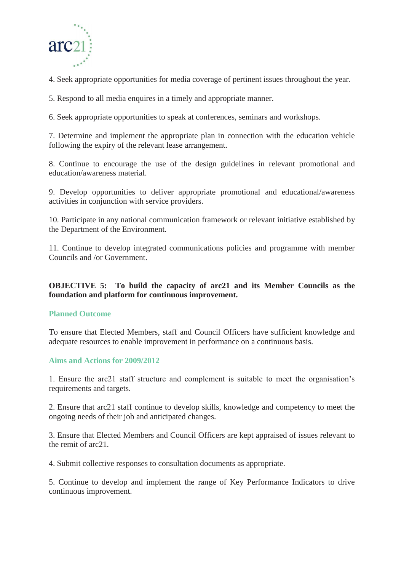

4. Seek appropriate opportunities for media coverage of pertinent issues throughout the year.

5. Respond to all media enquires in a timely and appropriate manner.

6. Seek appropriate opportunities to speak at conferences, seminars and workshops.

7. Determine and implement the appropriate plan in connection with the education vehicle following the expiry of the relevant lease arrangement.

8. Continue to encourage the use of the design guidelines in relevant promotional and education/awareness material.

9. Develop opportunities to deliver appropriate promotional and educational/awareness activities in conjunction with service providers.

10. Participate in any national communication framework or relevant initiative established by the Department of the Environment.

11. Continue to develop integrated communications policies and programme with member Councils and /or Government.

**OBJECTIVE 5: To build the capacity of arc21 and its Member Councils as the foundation and platform for continuous improvement.**

#### **Planned Outcome**

To ensure that Elected Members, staff and Council Officers have sufficient knowledge and adequate resources to enable improvement in performance on a continuous basis.

#### **Aims and Actions for 2009/2012**

1. Ensure the arc21 staff structure and complement is suitable to meet the organisation's requirements and targets.

2. Ensure that arc21 staff continue to develop skills, knowledge and competency to meet the ongoing needs of their job and anticipated changes.

3. Ensure that Elected Members and Council Officers are kept appraised of issues relevant to the remit of arc21.

4. Submit collective responses to consultation documents as appropriate.

5. Continue to develop and implement the range of Key Performance Indicators to drive continuous improvement.